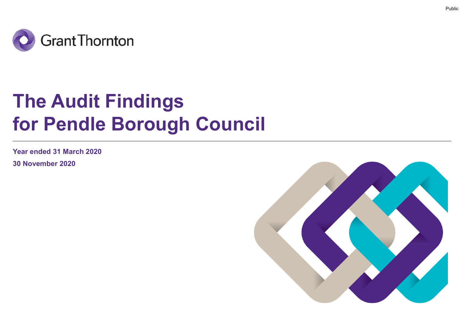

# The Audit Findings for Pendle Borough Council

Year ended 31 March 2020

30 November 2020

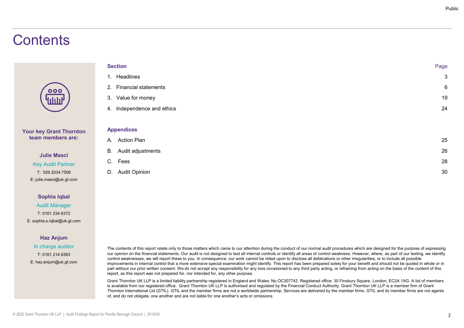# **Contents**

|                             | Public       |
|-----------------------------|--------------|
|                             |              |
|                             |              |
|                             |              |
| <b>Section</b>              | Page         |
| 1. Headlines                | $\mathbf{3}$ |
| 2. Financial statements     | $\,6\,$      |
| 3. Value for money          | 19           |
| 4. Independence and ethics  | 24           |
| <b>Appendices</b>           |              |
| A. Action Plan              | 25           |
| <b>B.</b> Audit adjustments | 26           |
| C. Fees                     | 28           |
| D. Audit Opinion            | 30           |

Sophia Iqbal Audit Manager T: 0161 234 6372 E: sophia.s.Iqbal@uk.gt.com

Your key Grant Thornton team members are:

> Julie Masci Key Audit Partner T: 029 2034 7506 E: julie.masci@uk.gt.com

# Haz Anjum

In charge auditor E: haz.anjum@uk.gt.com

The contents of this report relate only to those matters which came to our attention during the conduct of our normal audit procedures which are designed for the purpose of expressing T: 0161 214 6363  $\,$  our opinion on the financial statements. Our audit is not designed to test all internal controls or identify all areas of control weakness. However, where, as part of our testing, we identify control weaknesses, we will report these to you. In consequence, our work cannot be relied upon to disclose all defalcations or other irregularities, or to include all possible improvements in internal control that a more extensive special examination might identify. This report has been prepared solely for your benefit and should not be quoted in whole or in part without our prior written consent. We do not accept any responsibility for any loss occasioned to any third party acting, or refraining from acting on the basis of the content of this report, as this report was not prepared for, nor intended for, any other purpose.

> Grant Thornton UK LLP is a limited liability partnership registered in England and Wales: No.OC307742. Registered office: 30 Finsbury Square, London, EC2A 1AG. A list of members is available from our registered office. Grant Thornton UK LLP is authorised and regulated by the Financial Conduct Authority. Grant Thornton UK LLP is a member firm of Grant Thornton International Ltd (GTIL). GTIL and the member firms are not a worldwide partnership. Services are delivered by the member firms. GTIL and its member firms are not agents of, and do not obligate, one another and are not liable for one another's acts or omissions.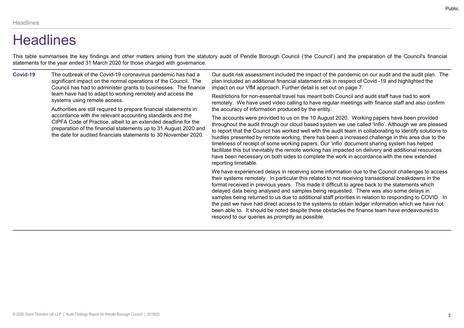# **Headlines**

This table summarises the key findings and other matters arising from the statutory audit of Pendle Borough Council ('the Council') and the preparation of the Council's financial<br>statements for the year ended 31 March 202 Headlines<br>
This table summarises the key findings and other matters arising from the statutory audit of Pendle Borough Council ('the Council') and the<br>
statements for the year ended 31 March 2020 for those charged with gov Covid-19 The outbreak of the Covid-19 coronavirus pandemic has had a significant impact on the normal operations of the Council. The Council has had to administer grants to businesses. The finance team have had to adapt to working remotely and access the systems using remote access. Authorities are still required to prepare financial statements in accordance with the relevant accounting standards and the CIPFA Code of Practice, albeit to an extended deadline for the preparation of the financial statements up to 31 August 2020 and the date for audited financials statements to 30 November 2020. Our audit risk assessment included the impact of the pandemic on our audit and the audit plan. The plan included an additional financial statement risk in respect of Covid -19 and highlighted the impact on our VfM approach. Further detail is set out on page 7. Restrictions for non-essential travel has meant both Council and audit staff have had to work remotely. We have used video calling to have regular meetings with finance staff and also confirm the accuracy of information produced by the entity. The accounts were provided to us on the 10 August 2020. Working papers have been provided throughout the audit through our cloud based system we use called 'Inflo'. Although we are pleased to report that the Council has worked well with the audit team in collaborating to identify solutions to hurdles presented by remote working, there has been a increased challenge in this area due to the timeliness of receipt of some working papers. Our 'inflo' document sharing system has helped facilitate this but inevitably the remote working has impacted on delivery and additional resources

> reporting timetable. We have experienced delays in receiving some information due to the Council challenges to access their systems remotely. In particular this related to not receiving transactional breakdowns in the format received in previous years. This made it difficult to agree back to the statements which delayed data being analysed and samples being requested. There was also some delays in samples being returned to us due to additional staff priorities in relation to responding to COVID. In the past we have had direct access to the systems to obtain ledger information which we have not been able to. It should be noted despite these obstacles the finance team have endeavoured to respond to our queries as promptly as possible.

have been necessary on both sides to complete the work in accordance with the new extended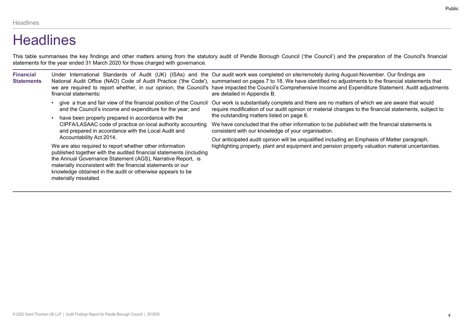# **Headlines**

| <b>Headlines</b>                      |                                                                                                                                         |                                                                                                                                                                                                                                                                                                                                         |
|---------------------------------------|-----------------------------------------------------------------------------------------------------------------------------------------|-----------------------------------------------------------------------------------------------------------------------------------------------------------------------------------------------------------------------------------------------------------------------------------------------------------------------------------------|
|                                       | statements for the year ended 31 March 2020 for those charged with governance.                                                          | This table summarises the key findings and other matters arising from the statutory audit of Pendle Borough Council ('the Council') and the preparation of the Council's financial<br>Under International Standards of Audit (UK) (ISAs) and the Our audit work was completed on site/remotely during August-November. Our findings are |
| <b>Financial</b><br><b>Statements</b> |                                                                                                                                         | National Audit Office (NAO) Code of Audit Practice ('the Code'), summarised on pages 7 to 18. We have identified no adjustments to the financial statements that<br>we are required to report whether, in our opinion, the Council's have impacted the Council's Comprehensive Income and Expenditure Statement. Audit adjustments      |
|                                       | financial statements:<br>and the Council's income and expenditure for the year; and                                                     | are detailed in Appendix B.<br>• give a true and fair view of the financial position of the Council Our work is substantially complete and there are no matters of which we are aware that would<br>require modification of our audit opinion or material changes to the financial statements, subject to                               |
|                                       | • have been properly prepared in accordance with the<br>and prepared in accordance with the Local Audit and<br>Accountability Act 2014. | the outstanding matters listed on page 6.<br>CIPFA/LASAAC code of practice on local authority accounting We have concluded that the other information to be published with the financial statements is<br>consistent with our knowledge of your organisation.                                                                           |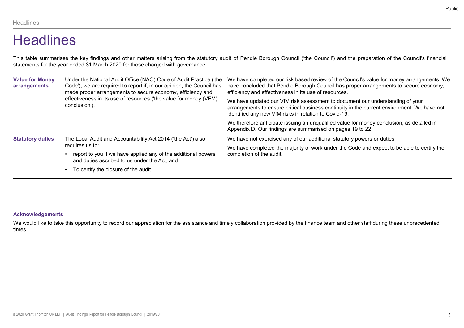# **Headlines**

| Headlines                              |                                                                                                                                                                                                           | Public                                                                                                                                                                                                                                      |
|----------------------------------------|-----------------------------------------------------------------------------------------------------------------------------------------------------------------------------------------------------------|---------------------------------------------------------------------------------------------------------------------------------------------------------------------------------------------------------------------------------------------|
| <b>Headlines</b>                       |                                                                                                                                                                                                           |                                                                                                                                                                                                                                             |
|                                        | statements for the year ended 31 March 2020 for those charged with governance.                                                                                                                            | This table summarises the key findings and other matters arising from the statutory audit of Pendle Borough Council ('the Council') and the preparation of the Council's financial                                                          |
| <b>Value for Money</b><br>arrangements | Under the National Audit Office (NAO) Code of Audit Practice ('the<br>Code'), we are required to report if, in our opinion, the Council has<br>made proper arrangements to secure economy, efficiency and | We have completed our risk based review of the Council's value for money arrangements. We<br>have concluded that Pendle Borough Council has proper arrangements to secure economy,<br>efficiency and effectiveness in its use of resources. |
|                                        | effectiveness in its use of resources ('the value for money (VFM)<br>conclusion').                                                                                                                        | We have updated our VfM risk assessment to document our understanding of your<br>arrangements to ensure critical business continuity in the current environment. We have not<br>identified any new VfM risks in relation to Covid-19.       |
|                                        |                                                                                                                                                                                                           | We therefore anticipate issuing an unqualified value for money conclusion, as detailed in<br>Appendix D. Our findings are summarised on pages 19 to 22.                                                                                     |
| <b>Statutory duties</b>                | The Local Audit and Accountability Act 2014 ('the Act') also                                                                                                                                              | We have not exercised any of our additional statutory powers or duties                                                                                                                                                                      |
|                                        | requires us to:<br>• report to you if we have applied any of the additional powers<br>and duties ascribed to us under the Act; and                                                                        | We have completed the majority of work under the Code and expect to be able to certify the<br>completion of the audit.                                                                                                                      |
|                                        | • To certify the closure of the audit.                                                                                                                                                                    |                                                                                                                                                                                                                                             |

# Acknowledgements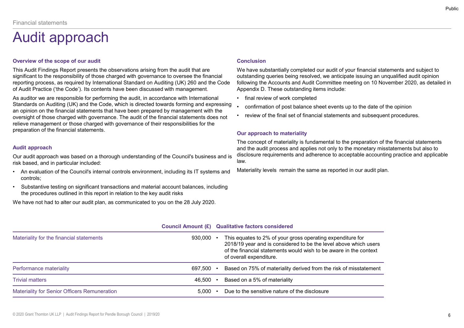# Audit approach

# Overview of the scope of our audit

This Audit Findings Report presents the observations arising from the audit that are significant to the responsibility of those charged with governance to oversee the financial outstanding queries being resolved, we anticipate issuing an unqualified audit opinion<br>The reporting process, as required by Inter Financial statements<br> **Audit approced Chromodynal Standard Conclusion**<br>
This Audit Findings Report presents the observations arising from the audit that are<br>
Finding inficant to the responsibility of those charged with go of Audit Practice ('the Code'). Its contents have been discussed with management. Appendix D. These outstanding ite<br>As auditor we are responsible for performing the audit, in accordance with International **international** A

Standards on Auditing (UK) and the Code, which is directed towards forming and expressing . confirmation of post balance sheet events up to the date of the opinion an opinion on the financial statements that have been prepared by management with the<br>oversight of those charged with governance. The audit of the financial statements does not review of the final set of financial statemen oversight of those charged with governance. The audit of the financial statements does not relieve management or those charged with governance of their responsibilities for the preparation of the financial statements. **Audit approach**<br>
• Conclusion Overview of the scope of our audit<br>
This Audit Findings Report presents the observations arising from the audit that are<br>
\* We have substant<br>
significant to the responsible by these changed w • The Audif Findings Report presents the observations arising from the audit that are<br>• Substantive the responsibility of those charged with governance to oversee the financial<br>• substanting queriesponsibility of these cha

# Audit approach

- controls;
- the procedures outlined in this report in relation to the key audit risks

# **Conclusion**

We have substantially completed our audit of your financial statements and subject to outstanding queries being resolved, we anticipate issuing an unqualified audit opinion Fublic<br>
We have substantially completed our audit of your financial statements and subject to<br>
outstanding queries being resolved, we anticipate issuing an unqualified audit opinion<br>
following the Accounts and Audit Commit Appendix D. These outstanding items include: **Conclusion**<br>
We have substantially completed our audit of your financial statements and subjoutstanding queries being resolved, we anticipate issuing an unqualified audit of<br>
following the Accounts and Audit Committee mee Fundation<br>
• Conclusion<br>
• Conclusion We have substantially completed our audit of your financial statements and subject to<br>
bollowing the Accounts and Audit Committee meeting on 10 November 2020, as detailed in<br>
Appendix • Public<br>• Conclusion<br>• We have substantially completed our audit of your financial statements and subject to<br>• outstanding queries being resolved, we anticipate issuing an unqualified audit opinion<br>• following the Account

- 
- 
- 

# Our approach to materiality

The concept of materiality is fundamental to the preparation of the financial statements and the audit process and applies not only to the monetary misstatements but also to disclosure requirements and adherence to acceptable accounting practice and applicable law.

| of Audit Practice ('the Code'). Its contents have been discussed with management.                                                                                                   | reporting process, as required by international Standard on Auditing (UK) 260 and the Code | Tollowing the Accounts and Audit Committee meeting on TU November 2020, as d<br>Appendix D. These outstanding items include:                                                                                                   |  |
|-------------------------------------------------------------------------------------------------------------------------------------------------------------------------------------|--------------------------------------------------------------------------------------------|--------------------------------------------------------------------------------------------------------------------------------------------------------------------------------------------------------------------------------|--|
| As auditor we are responsible for performing the audit, in accordance with International                                                                                            |                                                                                            | final review of work completed<br>$\bullet$                                                                                                                                                                                    |  |
| Standards on Auditing (UK) and the Code, which is directed towards forming and expressing<br>an opinion on the financial statements that have been prepared by management with the  |                                                                                            | confirmation of post balance sheet events up to the date of the opinion                                                                                                                                                        |  |
| oversight of those charged with governance. The audit of the financial statements does not<br>relieve management or those charged with governance of their responsibilities for the |                                                                                            | review of the final set of financial statements and subsequent procedures.                                                                                                                                                     |  |
| preparation of the financial statements.                                                                                                                                            |                                                                                            | Our approach to materiality                                                                                                                                                                                                    |  |
| <b>Audit approach</b>                                                                                                                                                               |                                                                                            | The concept of materiality is fundamental to the preparation of the financial staten<br>and the audit process and applies not only to the monetary misstatements but alse                                                      |  |
| Our audit approach was based on a thorough understanding of the Council's business and is<br>risk based, and in particular included:                                                |                                                                                            | disclosure requirements and adherence to acceptable accounting practice and ap<br>law.                                                                                                                                         |  |
| An evaluation of the Council's internal controls environment, including its IT systems and<br>controls;                                                                             |                                                                                            | Materiality levels remain the same as reported in our audit plan.                                                                                                                                                              |  |
| Substantive testing on significant transactions and material account balances, including<br>$\bullet$<br>the procedures outlined in this report in relation to the key audit risks  |                                                                                            |                                                                                                                                                                                                                                |  |
|                                                                                                                                                                                     |                                                                                            |                                                                                                                                                                                                                                |  |
| We have not had to alter our audit plan, as communicated to you on the 28 July 2020.                                                                                                |                                                                                            |                                                                                                                                                                                                                                |  |
|                                                                                                                                                                                     |                                                                                            |                                                                                                                                                                                                                                |  |
|                                                                                                                                                                                     | Council Amount (£) Qualitative factors considered                                          |                                                                                                                                                                                                                                |  |
| Materiality for the financial statements                                                                                                                                            | 930,000 $\cdot$                                                                            | This equates to 2% of your gross operating expenditure for<br>2018/19 year and is considered to be the level above which users<br>of the financial statements would wish to be aware in the context<br>of overall expenditure. |  |
| Performance materiality                                                                                                                                                             | 697,500 $\cdot$                                                                            | Based on 75% of materiality derived from the risk of misstatement                                                                                                                                                              |  |
| <b>Trivial matters</b>                                                                                                                                                              | 46,500 $\cdot$                                                                             | Based on a 5% of materiality                                                                                                                                                                                                   |  |
| Materiality for Senior Officers Remuneration                                                                                                                                        | $5,000$ $\cdot$                                                                            | Due to the sensitive nature of the disclosure                                                                                                                                                                                  |  |
|                                                                                                                                                                                     |                                                                                            |                                                                                                                                                                                                                                |  |
| © 2020 Grant Thornton UK LLP   Audit Findings Report for Pendle Borough Council   2019/20                                                                                           |                                                                                            |                                                                                                                                                                                                                                |  |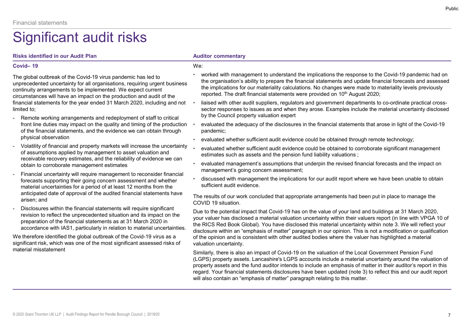# We:

Financial statements<br>
Significant audit risks<br>
Risks identified in our Audit Plan<br>
Covid– 19<br>
The global outbreak of the Covid-19 virus pandemic has led to<br>
unprecedented uncertainty for all organisations, requiring urgent The global outbreak of the Covid-19 virus pandemic has led to unprecedented uncertainty for all organisations, requiring urgent business continuity arrangements to be implemented. We expect current circumstances will have an impact on the production and audit of the financial statements for the year ended 31 March 2020, including and not limited to; Financial statements<br>
Significant aludit risks<br>
Risks identified in our Audit Plan<br>
Covid–19<br>
The global outbreak of the Covid–19 virus pandemic has led to<br>
the global outbreak of the Covid–19 virus pandemic has led to<br>
t Financial statements<br>
Significant and dit risks<br>  $\frac{1}{2}$ <br>  $\frac{1}{2}$ <br>  $\frac{1}{2}$ <br>  $\frac{1}{2}$ <br>  $\frac{1}{2}$ <br>  $\frac{1}{2}$ <br>  $\frac{1}{2}$ <br>  $\frac{1}{2}$ <br>  $\frac{1}{2}$ <br>  $\frac{1}{2}$ <br>  $\frac{1}{2}$ <br>  $\frac{1}{2}$ <br>  $\frac{1}{2}$ <br>  $\frac{1}{2}$ <br>  $\frac{1}{2}$ <br>  $\frac{1}{2$  $\begin{tabular}{l|c|c|c|c|c|c|c|c|c} \hline \multicolumn{1}{c}{\textbf{S}} & \multicolumn{1}{c}{\textbf{S}} & \multicolumn{1}{c}{\textbf{S}} & \multicolumn{1}{c}{\textbf{S}} & \multicolumn{1}{c}{\textbf{S}} & \multicolumn{1}{c}{\textbf{S}} & \multicolumn{1}{c}{\textbf{S}} & \multicolumn{1}{c}{\textbf{S}} & \multicolumn{1}{c}{\textbf{S}} & \multicolumn{1}{c}{\textbf{S}} & \multicolumn{1}{c}{\textbf{S}} & \multicolumn{1}{c}{\textbf{S}}$ Covid—19 with the Covid-19 virus pandemic has led to<br>
The global outhreached uncertainty for all organisations, requiring urgent business with every<br>
circumstances will have an impact on the production and audit of the imp

- front line duties may impact on the quality and timing of the production of the financial statements, and the evidence we can obtain through physical observation
- of assumptions applied by management to asset valuation and receivable recovery estimates, and the reliability of evidence we can obtain to corroborate management estimates
- forecasts supporting their going concern assessment and whether material uncertainties for a period of at least 12 months from the anticipated date of approval of the audited financial statements have arisen; and
- revision to reflect the unprecedented situation and its impact on the preparation of the financial statements as at 31 March 2020 in accordance with IAS1, particularly in relation to material uncertainties.

We therefore identified the global outbreak of the Covid-19 virus as a significant risk, which was one of the most significant assessed risks of material misstatement

- Financial statements<br>
Significant audit Plan<br>
Risks identified in our Audit Plan<br>
Covid–19<br>
The global outbreak of the Covid-19 virus pandemic has led to<br>
The organisation's ability to prepare the financial statements and • worked with management to understand the implications the response to the Covid-19 pandemic had on the organisation's ability to prepare the financial statements and update financial forecasts and assessed the implications for our materiality calculations. No changes were made to materiality levels previously reported. The draft financial statements were provided on 10<sup>th</sup> August 2020;
	- liaised with other audit suppliers, regulators and government departments to co-ordinate practical crosssector responses to issues as and when they arose. Examples include the material uncertainty disclosed by the Council property valuation expert
	- evaluated the adequacy of the disclosures in the financial statements that arose in light of the Covid-19 pandemic;
	- evaluated whether sufficient audit evidence could be obtained through remote technology;
	- evaluated whether sufficient audit evidence could be obtained to corroborate significant management estimates such as assets and the pension fund liability valuations ;
	- evaluated management's assumptions that underpin the revised financial forecasts and the impact on management's going concern assessment;
	- discussed with management the implications for our audit report where we have been unable to obtain sufficient audit evidence.

The results of our work concluded that appropriate arrangements had been put in place to manage the COVID 19 situation.

Due to the potential impact that Covid-19 has on the value of your land and buildings at 31 March 2020, your valuer has disclosed a material valuation uncertainty within their valuers report (in line with VPGA 10 of the RICS Red Book Global). You have disclosed this material uncertainty within note 3. We will reflect your disclosure within an "emphasis of matter" paragraph in our opinion. This is not a modification or qualification of the opinion and is consistent with other audited bodies where the valuer has highlighted a material valuation uncertainty.

Similarly, there is also an impact of Covid-19 on the valuation of the Local Government Pension Fund (LGPS) property assets. Lancashire's LGPS accounts include a material uncertainty around the valuation of property assets and the fund auditor intends to include an emphasis of matter in their auditor's report in this regard. Your financial statements disclosures have been updated (note 3) to reflect this and our audit report will also contain an "emphasis of matter" paragraph relating to this matter.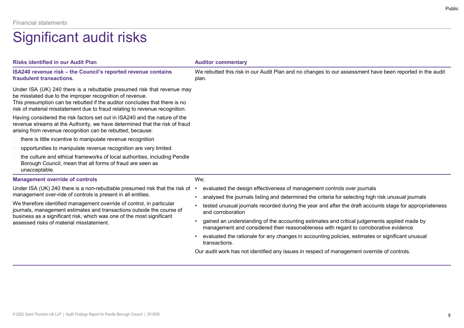| <b>Financial statements</b>                                                                                                                                                                                                                                                                      |                                                                                                                                                                                                  |
|--------------------------------------------------------------------------------------------------------------------------------------------------------------------------------------------------------------------------------------------------------------------------------------------------|--------------------------------------------------------------------------------------------------------------------------------------------------------------------------------------------------|
| <b>Significant audit risks</b>                                                                                                                                                                                                                                                                   |                                                                                                                                                                                                  |
| <b>Risks identified in our Audit Plan</b>                                                                                                                                                                                                                                                        | <b>Auditor commentary</b>                                                                                                                                                                        |
| ISA240 revenue risk - the Council's reported revenue contains<br>fraudulent transactions.                                                                                                                                                                                                        | We rebutted this risk in our Audit Plan and no changes to our assessment have been reported in the audit<br>plan.                                                                                |
| Under ISA (UK) 240 there is a rebuttable presumed risk that revenue may<br>be misstated due to the improper recognition of revenue.<br>This presumption can be rebutted if the auditor concludes that there is no<br>risk of material misstatement due to fraud relating to revenue recognition. |                                                                                                                                                                                                  |
| Having considered the risk factors set out in ISA240 and the nature of the<br>revenue streams at the Authority, we have determined that the risk of fraud<br>arising from revenue recognition can be rebutted, because:                                                                          |                                                                                                                                                                                                  |
| there is little incentive to manipulate revenue recognition                                                                                                                                                                                                                                      |                                                                                                                                                                                                  |
| opportunities to manipulate revenue recognition are very limited                                                                                                                                                                                                                                 |                                                                                                                                                                                                  |
| the culture and ethical frameworks of local authorities, including Pendle<br>Borough Council, mean that all forms of fraud are seen as<br>unacceptable.                                                                                                                                          |                                                                                                                                                                                                  |
| <b>Management override of controls</b>                                                                                                                                                                                                                                                           | We;                                                                                                                                                                                              |
| Under ISA (UK) 240 there is a non-rebuttable presumed risk that the risk of                                                                                                                                                                                                                      | evaluated the design effectiveness of management controls over journals                                                                                                                          |
| management over-ride of controls is present in all entities.<br>We therefore identified management override of control, in particular                                                                                                                                                            | analysed the journals listing and determined the criteria for selecting high risk unusual journals<br>$\bullet$                                                                                  |
| journals, management estimates and transactions outside the course of<br>business as a significant risk, which was one of the most significant                                                                                                                                                   | tested unusual journals recorded during the year and after the draft accounts stage for appropriateness<br>and corroboration                                                                     |
| assessed risks of material misstatement.                                                                                                                                                                                                                                                         | gained an understanding of the accounting estimates and critical judgements applied made by<br>$\bullet$<br>management and considered their reasonableness with regard to corroborative evidence |
|                                                                                                                                                                                                                                                                                                  | evaluated the rationale for any changes in accounting policies, estimates or significant unusual<br>transactions.                                                                                |
|                                                                                                                                                                                                                                                                                                  | Our audit work has not identified any issues in respect of management override of controls.                                                                                                      |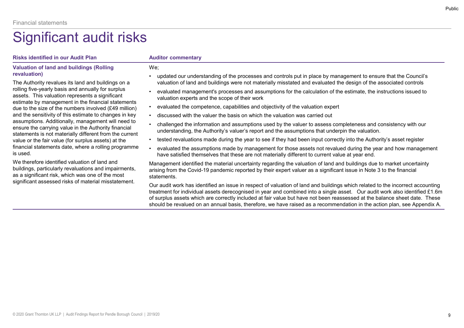# Valuation of land and buildings (Rolling revaluation)

Financial statements<br>  $\begin{array}{l} \text{Signification} \leftarrow \text{Risks} \text{ identified in our audit Plan} \\\ \text{Volution of land and buildings (Rolling \\\ \text{Volution of land and buildings} \\\ \text{Volution} \\\ \text{Cyluated} \\\ \text{Cylculated} \\\ \text{Cylculated} \\\ \text{Cylculated} \\\ \text{Cylculated} \\\ \text{Cylculated} \\\ \text{Cylculated} \\\ \text{Cylculated} \\\ \text{Cylculated} \\\ \text{Cylculated} \\\ \text{Cylculated} \\\ \text{Cylculated} \\\ \text{Cylculated} \\\ \text{Cylculated} \\\ \text{C$ assets. This valuation represents a significant estimate by management in the financial statements<br>due to the size of the numbers involved (£40 million) vevaluated the competence, capabilities and objectivity of the valuation expert due to the size of the numbers involved (£49 million) ensure the carrying value in the Authority financial value or the fair value (for surplus assets) at the is used.

We therefore identified valuation of land and buildings, particularly revaluations and impairments, as a significant risk, which was one of the most

# We;

- Financial statements<br>
Significant audit Plan<br>
Nauditor commentary<br>
Valuation of land and buildings (Rolling<br>
The Authority revalues its land and buildings on a<br>
The Authority revalues its land and buildings on a<br>
The Autho • updated our understanding of the processes and controls put in place by management to ensure that the Council's valuation of land and buildings were not materially misstated and evaluated the design of the associated controls • updated our understanding of the processes and controls put in place by management to ensure that the Council's<br>• updated our understanding of the processes and controls put in place by management to ensure that the Cou Auditor commentary<br>
• updated our understanding of the processes and controls put in place by management to ensure<br>
• valuated our understanding of the processes and controls put in place by management to ensure<br>
• evaluat Auditor commentary<br>
We;<br>
• updated our understanding of the processes and controls put in place by management to ensu<br>
• valuated management's processes and assumptions for the calculation of the estign of the a<br>
• evaluat Fulled the information and equilibration and assumptions and controls put in place by management to ensure that the Council's<br>
• updated our understanding of the processes and solutions visitated and evolution of land and
- rolling five-yearly basis and annually for surplus . evaluated management's processes and assumptions for the calculation of the estimate, the instructions issued to valuation experts and the scope of their work
	-
- and the sensitivity of this estimate to changes in key  $\cdot$  discussed with the valuer the basis on which the valuation was carried out
- assumptions. Additionally, management will need to **challenged the information and assumptions** used by the valuer to assess completeness and consistency with our understanding, the Authority's valuer's report and the assumptions that underpin the valuation.
- statements is not materially different from the current<br>value or the fair value (for surplus assets) at the the tested revaluations made during the year to see if they had been input correctly into the Authority's asset re
- financial statements date, where a rolling programme . evaluated the assumptions made by management for those assets not revalued during the year and how management have satisfied themselves that these are not materially different to current value at year end.

Fustion<br>
• We;<br>
• updated our understanding of the processes and controls put in place by management to ensure that the Council's<br>
• valuation of land and buildings were not materially misstated and evaluated the design Funded or understanding of the processes and controls put in place by management to ensure that the Council's<br>
velated our understanding of the processes and controls put in place by management to ensure that the Council's Management identified the material uncertainty regarding the valuation of land and buildings due to market uncertainty arising from the Covid-19 pandemic reported by their expert valuer as a significant issue in Note 3 to the financial statements.

significant assessed risks of material misstatement.<br>Our audit work has identified an issue in respect of valuation of land and buildings which related to the incorrect accounting Auditor commentary<br>
Our exploded our understanding of the processes and controls put in place by management to ensure that the Council's<br>
Solution of land and ultilings were not materially missiated and evaluation of the e treatment for individual assets derecognised in year and combined into a single asset. Our audit work also identified £1.6m of surplus assets which are correctly included at fair value but have not been reassessed at the balance sheet date. These should be revalued on an annual basis, therefore, we have raised as a recommendation in the action plan, see Appendix A.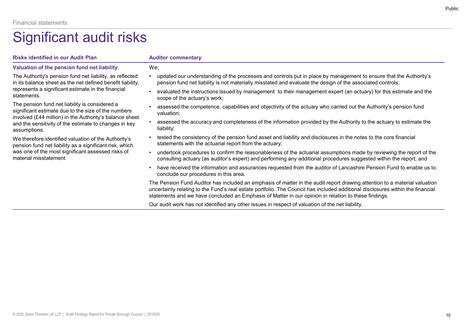| <b>Financial statements</b>                                                                                                      |                                                                                                                                                                                                                                                                                                                                                                     |
|----------------------------------------------------------------------------------------------------------------------------------|---------------------------------------------------------------------------------------------------------------------------------------------------------------------------------------------------------------------------------------------------------------------------------------------------------------------------------------------------------------------|
| Significant audit risks                                                                                                          |                                                                                                                                                                                                                                                                                                                                                                     |
| <b>Risks identified in our Audit Plan</b>                                                                                        | <b>Auditor commentary</b>                                                                                                                                                                                                                                                                                                                                           |
| Valuation of the pension fund net liability                                                                                      | We;                                                                                                                                                                                                                                                                                                                                                                 |
| The Authority's pension fund net liability, as reflected<br>in its balance sheet as the net defined benefit liability,           | updated our understanding of the processes and controls put in place by management to ensure that the Authority's<br>pension fund net liability is not materially misstated and evaluate the design of the associated controls;                                                                                                                                     |
| represents a significant estimate in the financial<br>statements.                                                                | evaluated the instructions issued by management to their management expert (an actuary) for this estimate and the<br>scope of the actuary's work;                                                                                                                                                                                                                   |
| The pension fund net liability is considered a<br>significant estimate due to the size of the numbers                            | assessed the competence, capabilities and objectivity of the actuary who carried out the Authority's pension fund<br>valuation;                                                                                                                                                                                                                                     |
| involved (£44 million) in the Authority's balance sheet<br>and the sensitivity of the estimate to changes in key<br>assumptions. | assessed the accuracy and completeness of the information provided by the Authority to the actuary to estimate the<br>liability;                                                                                                                                                                                                                                    |
| We therefore identified valuation of the Authority's<br>pension fund net liability as a significant risk, which                  | tested the consistency of the pension fund asset and liability and disclosures in the notes to the core financial<br>statements with the actuarial report from the actuary;                                                                                                                                                                                         |
| was one of the most significant assessed risks of<br>material misstatement                                                       | undertook procedures to confirm the reasonableness of the actuarial assumptions made by reviewing the report of the<br>consulting actuary (as auditor's expert) and performing any additional procedures suggested within the report; and                                                                                                                           |
|                                                                                                                                  | • have received the information and assurances requested from the auditor of Lancashire Pension Fund to enable us to<br>conclude our procedures in this area.                                                                                                                                                                                                       |
|                                                                                                                                  | The Pension Fund Auditor has included an emphasis of matter in the audit report drawing attention to a material valuation<br>uncertainty relating to the Fund's real estate portfolio. The Council has included additional disclosures within the financial<br>statements and we have concluded an Emphasis of Matter in our opinion in relation to these findings. |
|                                                                                                                                  |                                                                                                                                                                                                                                                                                                                                                                     |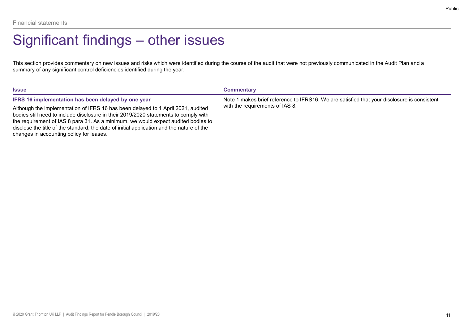## Public

This section provides commentary on new issues and risks which were identified during the course of the audit that were not previously communicated in the Audit Plan and a summary of any significant control deficiencies identified during the year. Financial statements<br>
Significant findings — other issues  $\frac{1}{1}$ <br>
This section provides commentary on new issues and risks which were identified during the course of the audit that were not previous<br>
summary of any sign

|                                                                                                                                                                             | Public                          |
|-----------------------------------------------------------------------------------------------------------------------------------------------------------------------------|---------------------------------|
|                                                                                                                                                                             |                                 |
| Significant findings – other issues                                                                                                                                         |                                 |
| This section provides commentary on new issues and risks which were identified during the course of the audit that were not previously communicated in the Audit Plan and a |                                 |
| <b>Commentary</b>                                                                                                                                                           |                                 |
| Note 1 makes brief reference to IFRS16. We are satisfied that your disclosure is consistent                                                                                 |                                 |
|                                                                                                                                                                             |                                 |
|                                                                                                                                                                             | with the requirements of IAS 8. |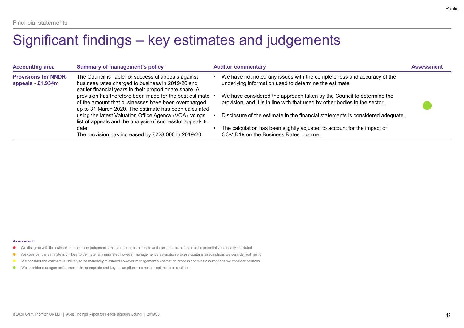| <b>Summary of management's policy</b><br><b>Auditor commentary</b><br><b>Accounting area</b><br><b>Assessment</b><br>• We have not noted any issues with the completeness and accuracy of the<br>The Council is liable for successful appeals against<br><b>Provisions for NNDR</b><br>business rates charged to business in 2019/20 and<br>underlying information used to determine the estimate.<br>appeals - £1.934m<br>earlier financial years in their proportionate share. A<br>provision has therefore been made for the best estimate<br>We have considered the approach taken by the Council to determine the<br>of the amount that businesses have been overcharged<br>provision, and it is in line with that used by other bodies in the sector.<br>up to 31 March 2020. The estimate has been calculated<br>using the latest Valuation Office Agency (VOA) ratings<br>Disclosure of the estimate in the financial statements is considered adequate.<br>list of appeals and the analysis of successful appeals to<br>• The calculation has been slightly adjusted to account for the impact of<br>date. |
|---------------------------------------------------------------------------------------------------------------------------------------------------------------------------------------------------------------------------------------------------------------------------------------------------------------------------------------------------------------------------------------------------------------------------------------------------------------------------------------------------------------------------------------------------------------------------------------------------------------------------------------------------------------------------------------------------------------------------------------------------------------------------------------------------------------------------------------------------------------------------------------------------------------------------------------------------------------------------------------------------------------------------------------------------------------------------------------------------------------------|
|                                                                                                                                                                                                                                                                                                                                                                                                                                                                                                                                                                                                                                                                                                                                                                                                                                                                                                                                                                                                                                                                                                                     |
| COVID19 on the Business Rates Income.<br>The provision has increased by £228,000 in 2019/20.                                                                                                                                                                                                                                                                                                                                                                                                                                                                                                                                                                                                                                                                                                                                                                                                                                                                                                                                                                                                                        |

### Assessment

- We disagree with the estimation process or judgements that underpin the estimate and consider the estimate to be potentially materially misstated
- We consider the estimate is unlikely to be materially misstated however management's estimation process contains assumptions we consider optimistic
- 
- We consider management's process is appropriate and key assumptions are neither optimistic or cautious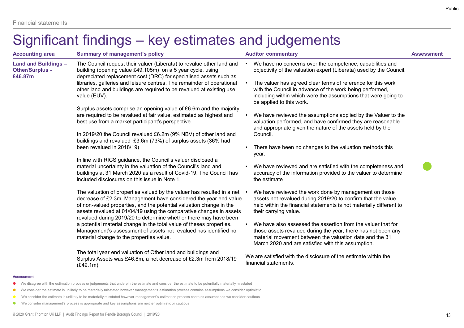### **Assessment**

- We disagree with the estimation process or judgements that underpin the estimate and consider the estimate to be potentially materially misstated
- We consider the estimate is unlikely to be materially misstated however management's estimation process contains assumptions we consider optimistic
- 
- We consider management's process is appropriate and key assumptions are neither optimistic or cautious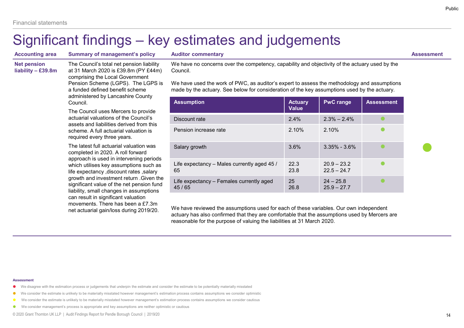# Public<br>
Assessment<br>
Hivity of the actuary used by the<br>
e methodology and assumptions<br>
umptions used by the actuary.<br>
PwC range<br>
Assessment<br>
2.3% – 2.4%<br>
2.10% **CONTREVERTY**<br>
Assessment<br>
tivity of the actuary used by the<br>
e methodology and assumptions<br>
umptions used by the actuary.<br> **PWC range Assessment<br>
2.3% – 2.4%<br>
2.10%<br>
3.35% - 3.6%<br>
20.9 – 23.2<br>
22.5 – 24.7<br>
24 – 25.8<br>
25.9 Assessment**<br>
Elivity of the actuary used by the<br>
e methodology and assumptions<br>
umptions used by the actuary.<br> **PWC range**<br> **Assessment**<br>
2.3% – 2.4%<br>
2.10%<br>
3.35% - 3.6%<br>
20.9 – 23.2<br>
20.9 – 23.2<br>
22.5 – 24.7<br>
24 – 25.8<br>

|                                                                                                                                                                                                                                                                                                                                                                                           |                                                                                                                                                                                                                                           | Significant findings – key estimates and judgements                                                                                                                                                                                                                |                                |                              |                   |                   |
|-------------------------------------------------------------------------------------------------------------------------------------------------------------------------------------------------------------------------------------------------------------------------------------------------------------------------------------------------------------------------------------------|-------------------------------------------------------------------------------------------------------------------------------------------------------------------------------------------------------------------------------------------|--------------------------------------------------------------------------------------------------------------------------------------------------------------------------------------------------------------------------------------------------------------------|--------------------------------|------------------------------|-------------------|-------------------|
| <b>Accounting area</b><br><b>Net pension</b>                                                                                                                                                                                                                                                                                                                                              | <b>Summary of management's policy</b><br>The Council's total net pension liability                                                                                                                                                        | <b>Auditor commentary</b><br>We have no concerns over the competency, capability and objectivity of the actuary used by the                                                                                                                                        |                                |                              |                   | <b>Assessment</b> |
| liability - £39.8m                                                                                                                                                                                                                                                                                                                                                                        | at 31 March 2020 is £39.8m (PY £44m)<br>comprising the Local Government<br>Pension Scheme (LGPS). The LGPS is<br>a funded defined benefit scheme                                                                                          | Council.<br>We have used the work of PWC, as auditor's expert to assess the methodology and assumptions<br>made by the actuary. See below for consideration of the key assumptions used by the actuary.                                                            |                                |                              |                   |                   |
|                                                                                                                                                                                                                                                                                                                                                                                           | administered by Lancashire County<br>Council.                                                                                                                                                                                             | <b>Assumption</b>                                                                                                                                                                                                                                                  | <b>Actuary</b>                 | <b>PwC range</b>             | <b>Assessment</b> |                   |
|                                                                                                                                                                                                                                                                                                                                                                                           | The Council uses Mercers to provide                                                                                                                                                                                                       |                                                                                                                                                                                                                                                                    | <b>Value</b>                   |                              |                   |                   |
|                                                                                                                                                                                                                                                                                                                                                                                           | actuarial valuations of the Council's<br>assets and liabilities derived from this<br>scheme. A full actuarial valuation is<br>required every three years.<br>The latest full actuarial valuation was<br>completed in 2020. A roll forward | Discount rate                                                                                                                                                                                                                                                      | 2.4%                           | $2.3\% - 2.4\%$              |                   |                   |
|                                                                                                                                                                                                                                                                                                                                                                                           |                                                                                                                                                                                                                                           | Pension increase rate                                                                                                                                                                                                                                              | 2.10%                          | 2.10%                        |                   |                   |
|                                                                                                                                                                                                                                                                                                                                                                                           |                                                                                                                                                                                                                                           | Salary growth                                                                                                                                                                                                                                                      | 3.6%                           | $3.35\% - 3.6\%$             | $\bullet$         |                   |
| approach is used in intervening periods<br>which utilises key assumptions such as<br>life expectancy , discount rates , salary<br>growth and investment return . Given the<br>significant value of the net pension fund<br>liability, small changes in assumptions<br>can result in significant valuation<br>movements. There has been a £7.3m<br>net actuarial gain/loss during 2019/20. | Life expectancy - Males currently aged 45 /<br>65                                                                                                                                                                                         | 22.3<br>23.8                                                                                                                                                                                                                                                       | $20.9 - 23.2$<br>$22.5 - 24.7$ | $\bullet$                    |                   |                   |
|                                                                                                                                                                                                                                                                                                                                                                                           |                                                                                                                                                                                                                                           | Life expectancy - Females currently aged<br>45/65                                                                                                                                                                                                                  | 25<br>26.8                     | $24 - 25.8$<br>$25.9 - 27.7$ |                   |                   |
|                                                                                                                                                                                                                                                                                                                                                                                           |                                                                                                                                                                                                                                           | We have reviewed the assumptions used for each of these variables. Our own independent<br>actuary has also confirmed that they are comfortable that the assumptions used by Mercers are<br>reasonable for the purpose of valuing the liabilities at 31 March 2020. |                                |                              |                   |                   |

### **Assessment**

- We disagree with the estimation process or judgements that underpin the estimate and consider the estimate to be potentially materially misstated
- We consider the estimate is unlikely to be materially misstated however management's estimation process contains assumptions we consider optimistic
- 
- We consider management's process is appropriate and key assumptions are neither optimistic or cautious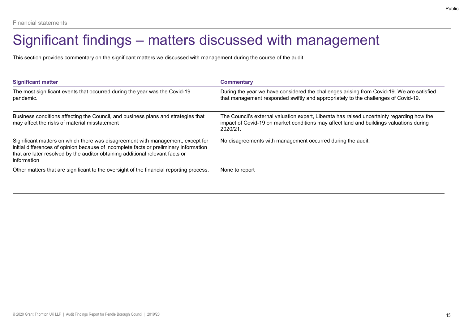# Financial statements<br>Significant findings — matters discussed with management during the course of the audit.<br>This section provides commentary on the significant matters we discussed with management during the course of th

| <b>Financial statements</b>                                                                                                                                                                                                                                              |                                                                                                                                                                                                   |
|--------------------------------------------------------------------------------------------------------------------------------------------------------------------------------------------------------------------------------------------------------------------------|---------------------------------------------------------------------------------------------------------------------------------------------------------------------------------------------------|
| Significant findings – matters discussed with management                                                                                                                                                                                                                 |                                                                                                                                                                                                   |
| This section provides commentary on the significant matters we discussed with management during the course of the audit.                                                                                                                                                 |                                                                                                                                                                                                   |
|                                                                                                                                                                                                                                                                          |                                                                                                                                                                                                   |
|                                                                                                                                                                                                                                                                          | <b>Commentary</b>                                                                                                                                                                                 |
| <b>Significant matter</b><br>The most significant events that occurred during the year was the Covid-19<br>pandemic.                                                                                                                                                     | that management responded swiftly and appropriately to the challenges of Covid-19.                                                                                                                |
| Business conditions affecting the Council, and business plans and strategies that<br>may affect the risks of material misstatement                                                                                                                                       | The Council's external valuation expert, Liberata has raised uncertainty regarding how the<br>impact of Covid-19 on market conditions may affect land and buildings valuations during<br>2020/21. |
| Significant matters on which there was disagreement with management, except for<br>initial differences of opinion because of incomplete facts or preliminary information<br>that are later resolved by the auditor obtaining additional relevant facts or<br>information | During the year we have considered the challenges arising from Covid-19. We are satisfied<br>No disagreements with management occurred during the audit.                                          |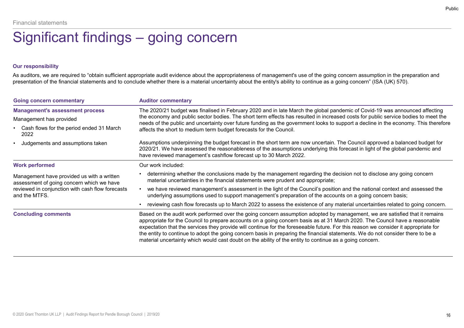# Financial statements<br>
Significant findings — going concern<br>
our responsibility<br>As auditors we are required to "obtain sufficient appropriate audit evidence about the appropriateness of management's use of the go

# Our responsibility

| Significant findings – going concern<br><b>Our responsibility</b>                                              |                                                                                                                                                                                                                                                                                                                                                                   |
|----------------------------------------------------------------------------------------------------------------|-------------------------------------------------------------------------------------------------------------------------------------------------------------------------------------------------------------------------------------------------------------------------------------------------------------------------------------------------------------------|
|                                                                                                                |                                                                                                                                                                                                                                                                                                                                                                   |
|                                                                                                                |                                                                                                                                                                                                                                                                                                                                                                   |
|                                                                                                                | As auditors, we are required to "obtain sufficient appropriate audit evidence about the appropriateness of management's use of the going concern assumption in the preparation and<br>presentation of the financial statements and to conclude whether there is a material uncertainty about the entity's ability to continue as a going concern" (ISA (UK) 570). |
| <b>Going concern commentary</b>                                                                                | <b>Auditor commentary</b>                                                                                                                                                                                                                                                                                                                                         |
| <b>Management's assessment process</b><br>Management has provided                                              | The 2020/21 budget was finalised in February 2020 and in late March the global pandemic of Covid-19 was announced affecting<br>the economy and public sector bodies. The short term effects has resulted in increased costs for public service bodies to meet the                                                                                                 |
| Cash flows for the period ended 31 March<br>2022                                                               | needs of the public and uncertainty over future funding as the government looks to support a decline in the economy. This therefore<br>affects the short to medium term budget forecasts for the Council.                                                                                                                                                         |
| Judgements and assumptions taken                                                                               | Assumptions underpinning the budget forecast in the short term are now uncertain. The Council approved a balanced budget for<br>2020/21. We have assessed the reasonableness of the assumptions underlying this forecast in light of the global pandemic and<br>have reviewed management's cashflow forecast up to 30 March 2022.                                 |
|                                                                                                                | Our work included:                                                                                                                                                                                                                                                                                                                                                |
| <b>Work performed</b>                                                                                          |                                                                                                                                                                                                                                                                                                                                                                   |
| Management have provided us with a written                                                                     | • determining whether the conclusions made by the management regarding the decision not to disclose any going concern<br>material uncertainties in the financial statements were prudent and appropriate;                                                                                                                                                         |
|                                                                                                                | we have reviewed management's assessment in the light of the Council's position and the national context and assessed the<br>underlying assumptions used to support management's preparation of the accounts on a going concern basis;                                                                                                                            |
| assessment of going concern which we have<br>reviewed in conjunction with cash flow forecasts<br>and the MTFS. | • reviewing cash flow forecasts up to March 2022 to assess the existence of any material uncertainties related to going concern.                                                                                                                                                                                                                                  |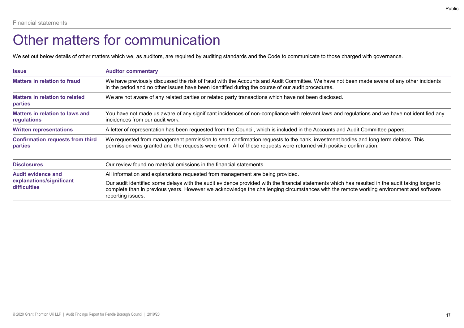# Other matters for communication

| <b>Financial statements</b>                             |                                                                                                                                                                                                                                                        |
|---------------------------------------------------------|--------------------------------------------------------------------------------------------------------------------------------------------------------------------------------------------------------------------------------------------------------|
|                                                         | Other matters for communication                                                                                                                                                                                                                        |
|                                                         | We set out below details of other matters which we, as auditors, are required by auditing standards and the Code to communicate to those charged with governance.                                                                                      |
| <b>Issue</b>                                            | <b>Auditor commentary</b>                                                                                                                                                                                                                              |
| <b>Matters in relation to fraud</b>                     | We have previously discussed the risk of fraud with the Accounts and Audit Committee. We have not been made aware of any other incidents<br>in the period and no other issues have been identified during the course of our audit procedures.          |
| <b>Matters in relation to related</b><br><b>parties</b> | We are not aware of any related parties or related party transactions which have not been disclosed.                                                                                                                                                   |
| <b>Matters in relation to laws and</b><br>regulations   | You have not made us aware of any significant incidences of non-compliance with relevant laws and regulations and we have not identified any<br>incidences from our audit work.                                                                        |
|                                                         | A letter of representation has been requested from the Council, which is included in the Accounts and Audit Committee papers.                                                                                                                          |
| <b>Written representations</b>                          |                                                                                                                                                                                                                                                        |
| <b>Confirmation requests from third</b><br>parties      | We requested from management permission to send confirmation requests to the bank, investment bodies and long term debtors. This<br>permission was granted and the requests were sent. All of these requests were returned with positive confirmation. |
| <b>Disclosures</b>                                      | Our review found no material omissions in the financial statements.                                                                                                                                                                                    |
| <b>Audit evidence and</b><br>explanations/significant   | All information and explanations requested from management are being provided.                                                                                                                                                                         |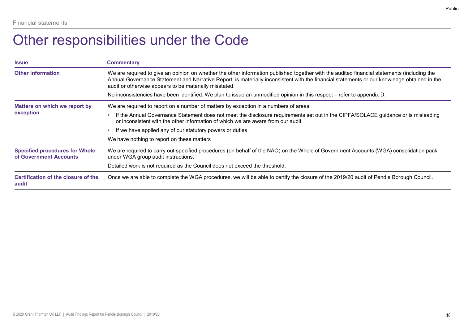# Other responsibilities under the Code

| <b>Financial statements</b>                                     |                                                                                                                                                                                                                                                                                                                                                      |
|-----------------------------------------------------------------|------------------------------------------------------------------------------------------------------------------------------------------------------------------------------------------------------------------------------------------------------------------------------------------------------------------------------------------------------|
|                                                                 | Other responsibilities under the Code                                                                                                                                                                                                                                                                                                                |
| <b>Issue</b>                                                    | <b>Commentary</b>                                                                                                                                                                                                                                                                                                                                    |
| <b>Other information</b>                                        | We are required to give an opinion on whether the other information published together with the audited financial statements (including the<br>Annual Governance Statement and Narrative Report, is materially inconsistent with the financial statements or our knowledge obtained in the<br>audit or otherwise appears to be materially misstated. |
|                                                                 | No inconsistencies have been identified. We plan to issue an unmodified opinion in this respect – refer to appendix D.                                                                                                                                                                                                                               |
| Matters on which we report by                                   | We are required to report on a number of matters by exception in a numbers of areas:                                                                                                                                                                                                                                                                 |
| exception                                                       | • If the Annual Governance Statement does not meet the disclosure requirements set out in the CIPFA/SOLACE guidance or is misleading<br>or inconsistent with the other information of which we are aware from our audit                                                                                                                              |
|                                                                 | • If we have applied any of our statutory powers or duties                                                                                                                                                                                                                                                                                           |
|                                                                 | We have nothing to report on these matters                                                                                                                                                                                                                                                                                                           |
|                                                                 | We are required to carry out specified procedures (on behalf of the NAO) on the Whole of Government Accounts (WGA) consolidation pack                                                                                                                                                                                                                |
| <b>Specified procedures for Whole</b><br>of Government Accounts | under WGA group audit instructions.                                                                                                                                                                                                                                                                                                                  |
|                                                                 | Detailed work is not required as the Council does not exceed the threshold.                                                                                                                                                                                                                                                                          |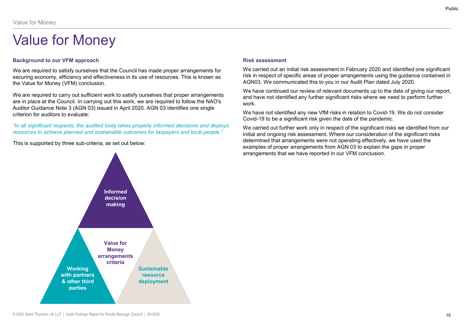Value for Money<br> **Value for Money**<br>
Background to our VFM approach<br>
We are required to satisfy ourselves that the Council has made proper arrangements for<br>
Securing economy, efficiency and effectiveness in its use of resou We are required to satisfy ourselves that the Council has made proper arrangements for securing economy, efficiency and effectiveness in its use of resources. This is known as the Value for Money (VFM) conclusion.

We are required to carry out sufficient work to satisfy ourselves that proper arrangements are in place at the Council. In carrying out this work, we are required to follow the NAO's Auditor Guidance Note 3 (AGN 03) issued in April 2020. AGN 03 identifies one single<br>We have not identified any new VfM risks in relation to Covid-19. We do not consider criterion for auditors to evaluate: Value for Money<br>  $\sqrt{a}\ll 10^\circ$  for Money<br>
Background to our VFM approach<br>
We are required to statsfy ourselves that the Council has made proper arrangements for<br>
we are required to statsform as<br>
securing economy, efficien Vallue for Money<br>
We are required to satisfy curselves that the Council has mede proper arrangements for<br>
We are required to satisfy curselves that the Council has mede proper arrangements for<br>
securing economy, efficiency Value for Money<br>
Yalue for Money<br>
Hackground to our VFM approach<br>
We are required to satisfy ourselves that the Council has made proper arrangements for<br>
Securing economy, efficiency and effectiveness in its use of resourc



We carried out an initial risk assessment in February 2020 and identified one significant risk in respect of specific areas of proper arrangements using the guidance contained in AGN03. We communicated this to you in our Audit Plan dated July 2020.

We have continued our review of relevant documents up to the date of giving our report, and have not identified any further significant risks where we need to perform further work.

Covid-19 to be a significant risk given the date of the pandemic.

Public<br>Risk assessment<br>We carried out an initial risk assessment in February 2020 and identified one significant<br>risk in respect of specific areas of proper arrangements using the guidance contained in<br>AGN03. We communicat We carried out further work only in respect of the significant risks we identified from our initial and ongoing risk assessment. Where our consideration of the significant risks determined that arrangements were not operating effectively, we have used the examples of proper arrangements from AGN 03 to explain the gaps in proper arrangements that we have reported in our VFM conclusion.

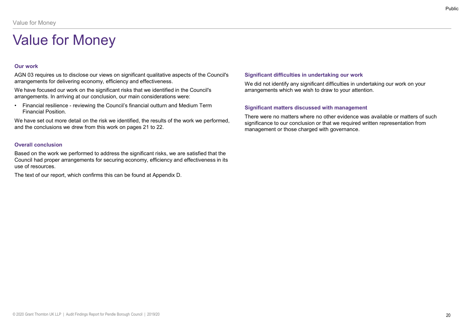# Our work

AGN 03 requires us to disclose our views on significant qualitative aspects of the Council's arrangements for delivering economy, efficiency and effectiveness. Financial Position Council's we did the conclusions we develope and the council's vector of delivering economy, efficiency and effectiveness. We did arrangements for delivering economy, efficiency and effectiveness. We di

We have focused our work on the significant risks that we identified in the Council's arrangements. In arriving at our conclusion, our main considerations were:

Financial Position.

We have set out more detail on the risk we identified, the results of the work we performed, and the conclusions we drew from this work on pages 21 to 22.

# Overall conclusion

Based on the work we performed to address the significant risks, we are satisfied that the Council had proper arrangements for securing economy, efficiency and effectiveness in its use of resources.

The text of our report, which confirms this can be found at Appendix D.

# Significant difficulties in undertaking our work

We did not identify any significant difficulties in undertaking our work on your arrangements which we wish to draw to your attention.

# Significant matters discussed with management

There were no matters where no other evidence was available or matters of such significance to our conclusion or that we required written representation from management or those charged with governance.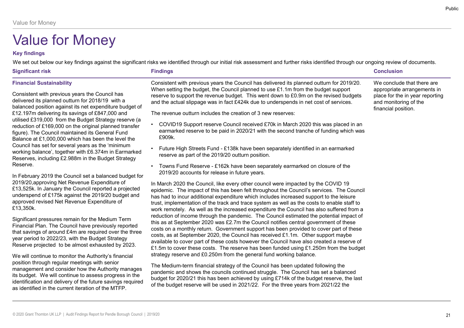# Key findings

| Value for Money                                                                                                                                                                                                                                                                                                                                                                                                                                                                                                                                                                                                                                                                                                                                                                                                                                                                                                                                       |                                                                                                                                                                                                                                                                                                                                                                                                                                                                                                                                                                                                                                                                                                                                                                                                                                                                                                                                                                                                                                                                                                                                                                                                                                                                                                                                                                         |                                                                                                                                              |
|-------------------------------------------------------------------------------------------------------------------------------------------------------------------------------------------------------------------------------------------------------------------------------------------------------------------------------------------------------------------------------------------------------------------------------------------------------------------------------------------------------------------------------------------------------------------------------------------------------------------------------------------------------------------------------------------------------------------------------------------------------------------------------------------------------------------------------------------------------------------------------------------------------------------------------------------------------|-------------------------------------------------------------------------------------------------------------------------------------------------------------------------------------------------------------------------------------------------------------------------------------------------------------------------------------------------------------------------------------------------------------------------------------------------------------------------------------------------------------------------------------------------------------------------------------------------------------------------------------------------------------------------------------------------------------------------------------------------------------------------------------------------------------------------------------------------------------------------------------------------------------------------------------------------------------------------------------------------------------------------------------------------------------------------------------------------------------------------------------------------------------------------------------------------------------------------------------------------------------------------------------------------------------------------------------------------------------------------|----------------------------------------------------------------------------------------------------------------------------------------------|
| <b>Value for Money</b><br><b>Key findings</b><br><b>Significant risk</b>                                                                                                                                                                                                                                                                                                                                                                                                                                                                                                                                                                                                                                                                                                                                                                                                                                                                              | We set out below our key findings against the significant risks we identified through our initial risk assessment and further risks identified through our ongoing review of documents.<br><b>Findings</b>                                                                                                                                                                                                                                                                                                                                                                                                                                                                                                                                                                                                                                                                                                                                                                                                                                                                                                                                                                                                                                                                                                                                                              | <b>Conclusion</b>                                                                                                                            |
| <b>Financial Sustainability</b><br>Consistent with previous years the Council has<br>delivered its planned outturn for 2018/19 with a<br>balanced position against its net expenditure budget of<br>£12.197m delivering its savings of £847,000 and<br>utilised £319,000 from the Budget Strategy reserve (a<br>reduction of £169,000 on the original planned transfer<br>figure). The Council maintained its General Fund<br>Balance at £1,000,000 which has been the level the<br>Council has set for several years as the 'minimum<br>working balance', together with £6.374m in Earmarked<br>Reserves, including £2.988m in the Budget Strategy<br>Reserve.<br>In February 2019 the Council set a balanced budget for<br>2019/20, approving Net Revenue Expenditure of<br>£13,525k. In January the Council reported a projected<br>underspend of £175k against the 2019/20 budget and<br>approved revised Net Revenue Expenditure of<br>£13,350k. | Consistent with previous years the Council has delivered its planned outturn for 2019/20.<br>When setting the budget, the Council planned to use £1.1m from the budget support<br>reserve to support the revenue budget. This went down to £0.9m on the revised budgets<br>and the actual slippage was in fact £424k due to underspends in net cost of services.<br>The revenue outturn includes the creation of 3 new reserves:<br>COVID19 Support reserve Council received £70k in March 2020 this was placed in an<br>earmarked reserve to be paid in 2020/21 with the second tranche of funding which was<br>£909k.<br>Future High Streets Fund - £138k have been separately identified in an earmarked<br>reserve as part of the 2019/20 outturn position.<br>Towns Fund Reserve - £162k have been separately earmarked on closure of the<br>2019/20 accounts for release in future years.<br>In March 2020 the Council, like every other council were impacted by the COVID 19<br>epidemic. The impact of this has been felt throughout the Council's services. The Council<br>has had to incur additional expenditure which includes increased support to the leisure<br>trust, implementation of the track and trace system as well as the costs to enable staff to<br>work remotely. As well as the increased expenditure the Council has also suffered from a | We conclude that there are<br>appropriate arrangements in<br>place for the in year reporting<br>and monitoring of the<br>financial position. |
| Significant pressures remain for the Medium Term<br>Financial Plan. The Council have previously reported<br>that savings of around £4m are required over the three<br>year period to 2022/23, with the Budget Strategy<br>Reserve projected to be almost exhausted by 2023.<br>We will continue to monitor the Authority's financial<br>position through regular meetings with senior<br>management and consider how the Authority manages<br>its budget. We will continue to assess progress in the<br>identification and delivery of the future savings required<br>as identified in the current iteration of the MTFP.                                                                                                                                                                                                                                                                                                                             | reduction of income through the pandemic. The Council estimated the potential impact of<br>this as at September 2020 was £2.7m the Council notifies central government of these<br>costs on a monthly return. Government support has been provided to cover part of these<br>costs, as at September 2020, the Council has received £1.1m. Other support maybe<br>available to cover part of these costs however the Council have also created a reserve of<br>£1.5m to cover these costs. The reserve has been funded using £1.250m from the budget<br>strategy reserve and £0.250m from the general fund working balance.<br>The Medium-term financial strategy of the Council has been updated following the<br>pandemic and shows the councils continued struggle. The Council has set a balanced<br>budget for 2020/21 this has been achieved by using £714k of the budget reserve, the last<br>of the budget reserve will be used in 2021/22. For the three years from 2021/22 the                                                                                                                                                                                                                                                                                                                                                                                 |                                                                                                                                              |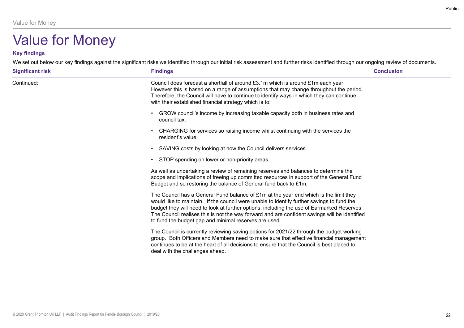# Key findings

| Value for Money<br><b>Value for Money</b> |                                                                                                                                                                                                                                                                                                                                                                                                                                            |                   |
|-------------------------------------------|--------------------------------------------------------------------------------------------------------------------------------------------------------------------------------------------------------------------------------------------------------------------------------------------------------------------------------------------------------------------------------------------------------------------------------------------|-------------------|
| <b>Key findings</b>                       | We set out below our key findings against the significant risks we identified through our initial risk assessment and further risks identified through our ongoing review of documents.                                                                                                                                                                                                                                                    |                   |
| <b>Significant risk</b>                   | <b>Findings</b>                                                                                                                                                                                                                                                                                                                                                                                                                            | <b>Conclusion</b> |
| Continued:                                | Council does forecast a shortfall of around £3.1m which is around £1m each year.<br>However this is based on a range of assumptions that may change throughout the period.<br>Therefore, the Council will have to continue to identify ways in which they can continue<br>with their established financial strategy which is to:                                                                                                           |                   |
|                                           | GROW council's income by increasing taxable capacity both in business rates and<br>$\bullet$<br>council tax.                                                                                                                                                                                                                                                                                                                               |                   |
|                                           | CHARGING for services so raising income whilst continuing with the services the<br>$\bullet$<br>resident's value.                                                                                                                                                                                                                                                                                                                          |                   |
|                                           | SAVING costs by looking at how the Council delivers services                                                                                                                                                                                                                                                                                                                                                                               |                   |
|                                           | STOP spending on lower or non-priority areas.                                                                                                                                                                                                                                                                                                                                                                                              |                   |
|                                           | As well as undertaking a review of remaining reserves and balances to determine the<br>scope and implications of freeing up committed resources in support of the General Fund<br>Budget and so restoring the balance of General fund back to £1m.                                                                                                                                                                                         |                   |
|                                           | The Council has a General Fund balance of £1m at the year end which is the limit they<br>would like to maintain. If the council were unable to identify further savings to fund the<br>budget they will need to look at further options, including the use of Earmarked Reserves.<br>The Council realises this is not the way forward and are confident savings will be identified<br>to fund the budget gap and minimal reserves are used |                   |
|                                           | The Council is currently reviewing saving options for 2021/22 through the budget working<br>group. Both Officers and Members need to make sure that effective financial management<br>continues to be at the heart of all decisions to ensure that the Council is best placed to<br>deal with the challenges ahead.                                                                                                                        |                   |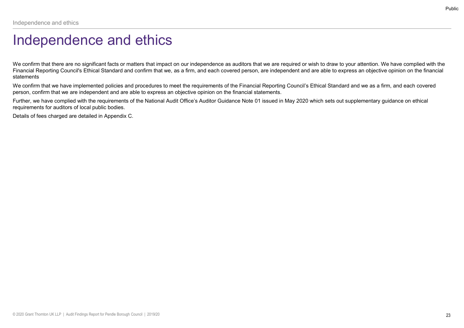# Independence and ethics

Public<br>We confirm that there are no significant facts or matters that impact on our independence as auditors that we are required or wish to draw to your attention. We have complied with the<br>Financial Reporting Council's E Financial Reporting Council's Ethical Standard and confirm that we, as a firm, and each covered person, are independent and are able to express an objective opinion on the financial statements Independence and ethics<br>
Independence and ethics<br>
We confirm that there are no significant facts or matters that impact on our independence as auditors that we are required or wish to draw to your attention. We have compli

We confirm that we have implemented policies and procedures to meet the requirements of the Financial Reporting Council's Ethical Standard and we as a firm, and each covered person, confirm that we are independent and are able to express an objective opinion on the financial statements.

requirements for auditors of local public bodies.

Details of fees charged are detailed in Appendix C.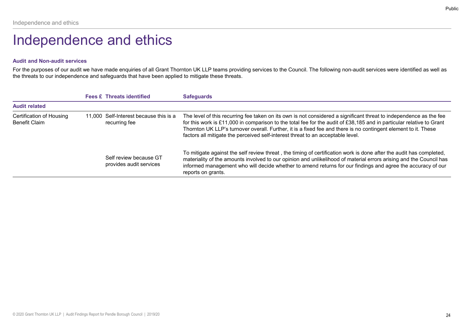# Independence and ethics

# Audit and Non-audit services

|                                                         |                                                                                                  | Public                                                                                                                                                                                                                                                                                                                                                                                                                                          |
|---------------------------------------------------------|--------------------------------------------------------------------------------------------------|-------------------------------------------------------------------------------------------------------------------------------------------------------------------------------------------------------------------------------------------------------------------------------------------------------------------------------------------------------------------------------------------------------------------------------------------------|
| Independence and ethics                                 |                                                                                                  |                                                                                                                                                                                                                                                                                                                                                                                                                                                 |
|                                                         | Independence and ethics                                                                          |                                                                                                                                                                                                                                                                                                                                                                                                                                                 |
| <b>Audit and Non-audit services</b>                     |                                                                                                  |                                                                                                                                                                                                                                                                                                                                                                                                                                                 |
|                                                         |                                                                                                  |                                                                                                                                                                                                                                                                                                                                                                                                                                                 |
|                                                         | the threats to our independence and safeguards that have been applied to mitigate these threats. | For the purposes of our audit we have made enquiries of all Grant Thornton UK LLP teams providing services to the Council. The following non-audit services were identified as well as                                                                                                                                                                                                                                                          |
|                                                         | <b>Fees £ Threats identified</b>                                                                 | <b>Safeguards</b>                                                                                                                                                                                                                                                                                                                                                                                                                               |
| <b>Audit related</b>                                    |                                                                                                  |                                                                                                                                                                                                                                                                                                                                                                                                                                                 |
| <b>Certification of Housing</b><br><b>Benefit Claim</b> | 11,000 Self-Interest because this is a<br>recurring fee                                          | The level of this recurring fee taken on its own is not considered a significant threat to independence as the fee<br>for this work is £11,000 in comparison to the total fee for the audit of £38,185 and in particular relative to Grant<br>Thornton UK LLP's turnover overall. Further, it is a fixed fee and there is no contingent element to it. These<br>factors all mitigate the perceived self-interest threat to an acceptable level. |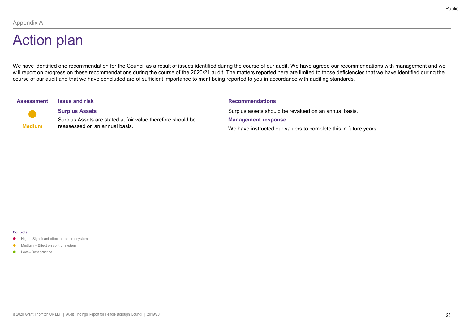# Appendix A<br>Action plan Action plan

We have identified one recommendation for the Council as a result of issues identified during the course of our audit. We have agreed our recommendations with management and we will report on progress on these recommendations during the course of the 2020/21 audit. The matters reported here are limited to those deficiencies that we have identified during the<br>course of our audit and that we have c Appendix A<br> **Action plan**<br>
We have identified one recommendation for the Council as a result of issues identified during the course of our audit. We have agreed our recommendations with management and we<br>
We have identifie

|                                                                                                       |                                                                                                                                                   | Pul                                                                                                                                                                                                                                                                                                                                                                         |
|-------------------------------------------------------------------------------------------------------|---------------------------------------------------------------------------------------------------------------------------------------------------|-----------------------------------------------------------------------------------------------------------------------------------------------------------------------------------------------------------------------------------------------------------------------------------------------------------------------------------------------------------------------------|
| Appendix A                                                                                            |                                                                                                                                                   |                                                                                                                                                                                                                                                                                                                                                                             |
| <b>Action plan</b>                                                                                    |                                                                                                                                                   |                                                                                                                                                                                                                                                                                                                                                                             |
|                                                                                                       | course of our audit and that we have concluded are of sufficient importance to merit being reported to you in accordance with auditing standards. | We have identified one recommendation for the Council as a result of issues identified during the course of our audit. We have agreed our recommendations with management and we<br>will report on progress on these recommendations during the course of the 2020/21 audit. The matters reported here are limited to those deficiencies that we have identified during the |
| <b>Assessment</b>                                                                                     | <b>Issue and risk</b>                                                                                                                             | <b>Recommendations</b>                                                                                                                                                                                                                                                                                                                                                      |
|                                                                                                       | <b>Surplus Assets</b>                                                                                                                             | Surplus assets should be revalued on an annual basis.                                                                                                                                                                                                                                                                                                                       |
|                                                                                                       | Surplus Assets are stated at fair value therefore should be                                                                                       | <b>Management response</b>                                                                                                                                                                                                                                                                                                                                                  |
| <b>Medium</b>                                                                                         | reassessed on an annual basis.                                                                                                                    | We have instructed our valuers to complete this in future years.                                                                                                                                                                                                                                                                                                            |
|                                                                                                       |                                                                                                                                                   |                                                                                                                                                                                                                                                                                                                                                                             |
|                                                                                                       |                                                                                                                                                   |                                                                                                                                                                                                                                                                                                                                                                             |
|                                                                                                       |                                                                                                                                                   |                                                                                                                                                                                                                                                                                                                                                                             |
|                                                                                                       |                                                                                                                                                   |                                                                                                                                                                                                                                                                                                                                                                             |
|                                                                                                       |                                                                                                                                                   |                                                                                                                                                                                                                                                                                                                                                                             |
|                                                                                                       |                                                                                                                                                   |                                                                                                                                                                                                                                                                                                                                                                             |
|                                                                                                       |                                                                                                                                                   |                                                                                                                                                                                                                                                                                                                                                                             |
|                                                                                                       |                                                                                                                                                   |                                                                                                                                                                                                                                                                                                                                                                             |
|                                                                                                       |                                                                                                                                                   |                                                                                                                                                                                                                                                                                                                                                                             |
|                                                                                                       |                                                                                                                                                   |                                                                                                                                                                                                                                                                                                                                                                             |
| <b>Controls</b><br>High - Significant effect on control system<br>• Medium - Effect on control system |                                                                                                                                                   |                                                                                                                                                                                                                                                                                                                                                                             |

### **Controls**

- 
- 
-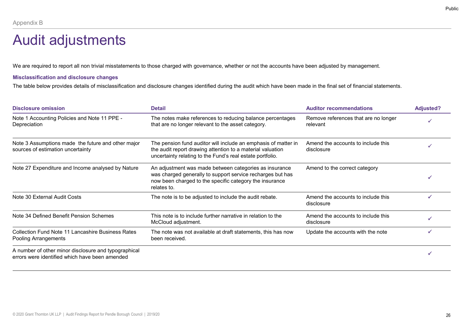# **Appendix B**<br>Audit adjustments Audit adjustments

# Misclassification and disclosure changes

|                                                                                         |                                                                                                                                                                                                                                                                                                                                    |                                                  | Public           |
|-----------------------------------------------------------------------------------------|------------------------------------------------------------------------------------------------------------------------------------------------------------------------------------------------------------------------------------------------------------------------------------------------------------------------------------|--------------------------------------------------|------------------|
| Appendix B<br><b>Audit adjustments</b>                                                  |                                                                                                                                                                                                                                                                                                                                    |                                                  |                  |
| <b>Misclassification and disclosure changes</b>                                         | We are required to report all non trivial misstatements to those charged with governance, whether or not the accounts have been adjusted by management.<br>The table below provides details of misclassification and disclosure changes identified during the audit which have been made in the final set of financial statements. |                                                  |                  |
| <b>Disclosure omission</b>                                                              | <b>Detail</b>                                                                                                                                                                                                                                                                                                                      | <b>Auditor recommendations</b>                   | <b>Adjusted?</b> |
| Note 1 Accounting Policies and Note 11 PPE -<br>Depreciation                            | The notes make references to reducing balance percentages<br>that are no longer relevant to the asset category.                                                                                                                                                                                                                    | Remove references that are no longer<br>relevant |                  |
| Note 3 Assumptions made the future and other major<br>sources of estimation uncertainty | The pension fund auditor will include an emphasis of matter in<br>the audit report drawing attention to a material valuation<br>uncertainty relating to the Fund's real estate portfolio.                                                                                                                                          | Amend the accounts to include this<br>disclosure |                  |
| Note 27 Expenditure and Income analysed by Nature                                       | An adjustment was made between categories as insurance<br>was charged generally to support service recharges but has<br>now been charged to the specific category the insurance<br>relates to.                                                                                                                                     | Amend to the correct category                    |                  |
| Note 30 External Audit Costs                                                            | The note is to be adjusted to include the audit rebate.                                                                                                                                                                                                                                                                            | Amend the accounts to include this<br>disclosure | $\checkmark$     |
| Note 34 Defined Benefit Pension Schemes                                                 | This note is to include further narrative in relation to the<br>McCloud adjustment.                                                                                                                                                                                                                                                | Amend the accounts to include this<br>disclosure | $\checkmark$     |
|                                                                                         | The note was not available at draft statements, this has now                                                                                                                                                                                                                                                                       | Update the accounts with the note                | $\checkmark$     |
| <b>Collection Fund Note 11 Lancashire Business Rates</b><br>Pooling Arrangements        | been received.                                                                                                                                                                                                                                                                                                                     |                                                  |                  |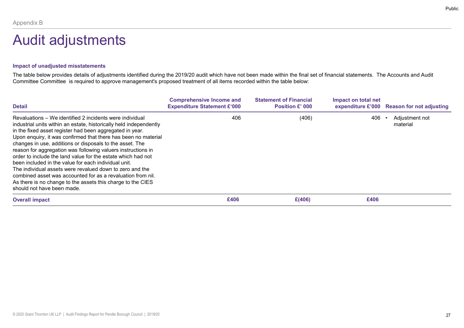# **Appendix B**<br>Audit adjustments Audit adjustments

# Impact of unadjusted misstatements

| Appendix B<br><b>Audit adjustments</b>                                                                                                                                                                                                                                                                                                                                                                                                                                                                                                                                                                                                                                                                                                                    |                                           |                                 |                     |                                                                          |
|-----------------------------------------------------------------------------------------------------------------------------------------------------------------------------------------------------------------------------------------------------------------------------------------------------------------------------------------------------------------------------------------------------------------------------------------------------------------------------------------------------------------------------------------------------------------------------------------------------------------------------------------------------------------------------------------------------------------------------------------------------------|-------------------------------------------|---------------------------------|---------------------|--------------------------------------------------------------------------|
| Impact of unadjusted misstatements<br>The table below provides details of adjustments identified during the 2019/20 audit which have not been made within the final set of financial statements. The Accounts and Audit<br>Committee Committee is required to approve management's proposed treatment of all items recorded within the table below:                                                                                                                                                                                                                                                                                                                                                                                                       |                                           |                                 |                     |                                                                          |
|                                                                                                                                                                                                                                                                                                                                                                                                                                                                                                                                                                                                                                                                                                                                                           | <b>Comprehensive Income and</b>           | <b>Statement of Financial</b>   | Impact on total net |                                                                          |
| <b>Detail</b><br>Revaluations - We identified 2 incidents were individual<br>industrial units within an estate, historically held independently<br>in the fixed asset register had been aggregated in year.<br>Upon enquiry, it was confirmed that there has been no material<br>changes in use, additions or disposals to the asset. The<br>reason for aggregation was following valuers instructions in<br>order to include the land value for the estate which had not<br>been included in the value for each individual unit.<br>The individual assets were revalued down to zero and the<br>combined asset was accounted for as a revaluation from nil.<br>As there is no change to the assets this charge to the CIES<br>should not have been made. | <b>Expenditure Statement £'000</b><br>406 | <b>Position £' 000</b><br>(406) | 406                 | expenditure £'000 Reason for not adjusting<br>Adjustment not<br>material |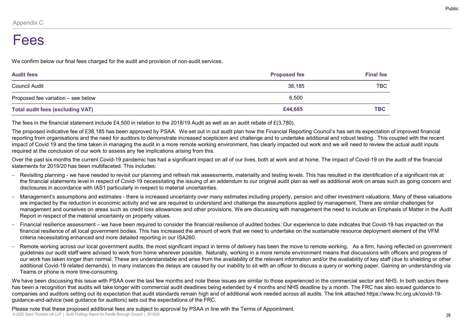# Appendix C<br>Fees Fees

| Appendix C                                                                                                                                                                                                                                                                                                                                                                                                                                                                                                                                                                                                                                                    |                     |                  |
|---------------------------------------------------------------------------------------------------------------------------------------------------------------------------------------------------------------------------------------------------------------------------------------------------------------------------------------------------------------------------------------------------------------------------------------------------------------------------------------------------------------------------------------------------------------------------------------------------------------------------------------------------------------|---------------------|------------------|
| Fees                                                                                                                                                                                                                                                                                                                                                                                                                                                                                                                                                                                                                                                          |                     |                  |
| We confirm below our final fees charged for the audit and provision of non-audit services.                                                                                                                                                                                                                                                                                                                                                                                                                                                                                                                                                                    |                     |                  |
| <b>Audit fees</b>                                                                                                                                                                                                                                                                                                                                                                                                                                                                                                                                                                                                                                             | <b>Proposed fee</b> | <b>Final fee</b> |
| <b>Council Audit</b>                                                                                                                                                                                                                                                                                                                                                                                                                                                                                                                                                                                                                                          | 38,185              | <b>TBC</b>       |
| Proposed fee variation - see below                                                                                                                                                                                                                                                                                                                                                                                                                                                                                                                                                                                                                            | 6,500               |                  |
| <b>Total audit fees (excluding VAT)</b>                                                                                                                                                                                                                                                                                                                                                                                                                                                                                                                                                                                                                       | £44,685             | <b>TBC</b>       |
| The fees in the financial statement include £4,500 in relation to the 2018/19 Audit as well as an audit rebate of £(3,780).                                                                                                                                                                                                                                                                                                                                                                                                                                                                                                                                   |                     |                  |
| The proposed indicative fee of £38,185 has been approved by PSAA. We set out in out audit plan how the Financial Reporting Council's has set its expectation of improved financial<br>reporting from organisations and the need for auditors to demonstrate increased scepticism and challenge and to undertake additional and robust testing. This coupled with the recent<br>impact of Covid 19 and the time taken in managing the audit in a more remote working environment, has clearly impacted out work and we will need to review the actual audit inputs<br>required at the conclusion of our work to assess any fee implications arising from this. |                     |                  |
| Over the past six months the current Covid-19 pandemic has had a significant impact on all of our lives, both at work and at home. The impact of Covid-19 on the audit of the financial<br>statements for 2019/20 has been multifaceted. This includes:                                                                                                                                                                                                                                                                                                                                                                                                       |                     |                  |
| Revisiting planning - we have needed to revisit our planning and refresh risk assessments, materiality and testing levels. This has resulted in the identification of a significant risk at<br>the financial statements level in respect of Covid-19 necessitating the issuing of an addendum to our original audit plan as well as additional work on areas such as going concern and<br>disclosures in accordance with IAS1 particularly in respect to material uncertainties.                                                                                                                                                                              |                     |                  |
| Management's assumptions and estimates - there is increased uncertainty over many estimates including property, pension and other investment valuations. Many of these valuations<br>are impacted by the reduction in economic activity and we are required to understand and challenge the assumptions applied by management. There are similar challenges for<br>management and ourselves on areas such as credit loss allowances and other provisions. We are discussing with management the need to include an Emphasis of Matter in the Audit<br>Report in respect of the material uncertainty on property values.                                       |                     |                  |
| Financial resilience assessment – we have been required to consider the financial resilience of audited bodies. Our experience to date indicates that Covid-19 has impacted on the<br>financial resilience of all local government bodies. This has increased the amount of work that we need to undertake on the sustainable resource deployment element of the VFM<br>criteria necessitating enhanced and more detailed reporting in our ISA260.                                                                                                                                                                                                            |                     |                  |
| Remote working across our local government audits, the most significant impact in terms of delivery has been the move to remote working. As a firm, having reflected on government<br>guidelines our audit staff were advised to work from home wherever possible. Naturally, working in a more remote environment means that discussions with officers and progress of<br>our work has taken longer than normal. These are understandable and arise from the availability of the relevant information and/or the availability of key staff (due to shielding or other                                                                                        |                     |                  |

- the financial statements level in respect of Covid-19 necessitating the issuing of an addendum to our original audit plan as well as additional work on areas such as going concern and disclosures in accordance with IAS1 particularly in respect to material uncertainties.
- management and ourselves on areas such as credit loss allowances and other provisions. We are discussing with management the need to include an Emphasis of Matter in the Audit Report in respect of the material uncertainty on property values.
- financial resilience of all local government bodies. This has increased the amount of work that we need to undertake on the sustainable resource deployment element of the VFM criteria necessitating enhanced and more detailed reporting in our ISA260.
- Remote working across our local government audits, the most significant impact in terms of delivery has been the move to remote working. As a firm, having reflected on government as audit rese (oxcidening VAT)<br>and an infrastructure from the based of a follow the second to the based of the second in the value from discussion of the product staff and the product staff and the product state of the sec our work has taken longer than normal. These are understandable and arise from the availability of the relevant information and/or the availability of key staff (due to shielding or other is electron international covid-19 relations and the standary of the standary in many instances in the demoting the demoting the demoting of the demoting of the demoting of the content of the demoting form of the demoting Teams or phone is more time-consuming.

We have been discussing this issue with PSAA over the last few months and note these issues are similar to those experienced in the commercial sector and NHS. In both sectors there has been a recognition that audits will take longer with commercial audit deadlines being extended by 4 months and NHS deadline by a month. The FRC has also issued quidance to companies and auditors setting out its expectation that audit standards remain high and of additional work needed across all audits. The link attached https://www.frc.org.uk/covid-19 guidance-and-advice (see guidance for auditors) sets out the expectations of the FRC.

© 2020 Grant Thornton UK LLP | Audit Findings Report for Pendle Borough Council | 2019/20 Please note that these proposed additional fees are subject to approval by PSAA in line with the Terms of Appointment.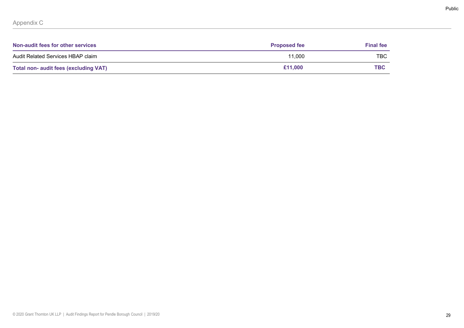|                                                 |                     |                  | Public |
|-------------------------------------------------|---------------------|------------------|--------|
|                                                 |                     |                  |        |
| Appendix C<br>Non-audit fees for other services | <b>Proposed fee</b> | <b>Final fee</b> |        |
| Audit Related Services HBAP claim               | 11,000              | TBC              |        |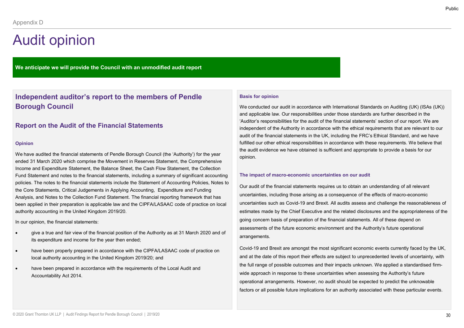We anticipate we will provide the Council with an unmodified audit report

# Independent auditor's report to the members of Pendle Borough Council

# Report on the Audit of the Financial Statements

### Opinion

We have audited the financial statements of Pendle Borough Council (the 'Authority') for the year ended 31 March 2020 which comprise the Movement in Reserves Statement, the Comprehensive Income and Expenditure Statement, the Balance Sheet, the Cash Flow Statement, the Collection Fund Statement and notes to the financial statements, including a summary of significant accounting policies. The notes to the financial statements include the Statement of Accounting Policies, Notes to the Core Statements, Critical Judgements in Applying Accounting, Expenditure and Funding Analysis, and Notes to the Collection Fund Statement. The financial reporting framework that has been applied in their preparation is applicable law and the CIPFA/LASAAC code of practice on local authority accounting in the United Kingdom 2019/20.

In our opinion, the financial statements:

- give a true and fair view of the financial position of the Authority as at 31 March 2020 and of its expenditure and income for the year then ended;
- have been properly prepared in accordance with the CIPFA/LASAAC code of practice on local authority accounting in the United Kingdom 2019/20; and
- have been prepared in accordance with the requirements of the Local Audit and Accountability Act 2014.

### Basis for opinion

We conducted our audit in accordance with International Standards on Auditing (UK) (ISAs (UK)) and applicable law. Our responsibilities under those standards are further described in the 'Auditor's responsibilities for the audit of the financial statements' section of our report. We are independent of the Authority in accordance with the ethical requirements that are relevant to our audit of the financial statements in the UK, including the FRC's Ethical Standard, and we have fulfilled our other ethical responsibilities in accordance with these requirements. We believe that the audit evidence we have obtained is sufficient and appropriate to provide a basis for our opinion.

### The impact of macro-economic uncertainties on our audit

Our audit of the financial statements requires us to obtain an understanding of all relevant uncertainties, including those arising as a consequence of the effects of macro-economic uncertainties such as Covid-19 and Brexit. All audits assess and challenge the reasonableness of estimates made by the Chief Executive and the related disclosures and the appropriateness of the going concern basis of preparation of the financial statements. All of these depend on assessments of the future economic environment and the Authority's future operational arrangements.

Covid-19 and Brexit are amongst the most significant economic events currently faced by the UK, and at the date of this report their effects are subject to unprecedented levels of uncertainty, with the full range of possible outcomes and their impacts unknown. We applied a standardised firmwide approach in response to these uncertainties when assessing the Authority's future operational arrangements. However, no audit should be expected to predict the unknowable factors or all possible future implications for an authority associated with these particular events.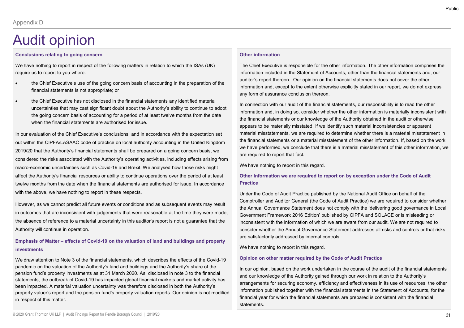## Conclusions relating to going concern

We have nothing to report in respect of the following matters in relation to which the ISAs (UK) require us to report to you where:

- financial statements is not appropriate; or
- $\begin{minipage}{0.9\textwidth} \begin{tabular}{|c|c|} \multicolumn{2}{c}{\textbf{1}} & \multicolumn{2}{c}{\textbf{1}} & \multicolumn{2}{c}{\textbf{1}} & \multicolumn{2}{c}{\textbf{1}} & \multicolumn{2}{c}{\textbf{1}} & \multicolumn{2}{c}{\textbf{1}} & \multicolumn{2}{c}{\textbf{1}} & \multicolumn{2}{c}{\textbf{1}} & \multicolumn{2}{c}{\textbf{1}} & \multicolumn{2}{c}{\textbf{1}} & \multicolumn{2}{c}{\textbf{1}} & \multicolumn{2}{c}{\textbf{1}} & \mult$  $\begin{minipage}[t]{0.1\textwidth}\begin{itemize} \textbf{Appendix D} \end{itemize} \end{minipage} \begin{minipage}[t]{0.1\textwidth}\begin{itemize} \textbf{Conclusions relating to going concern} \\ \textbf{New halve nothing to report in respect of the following matters in relation to which the ISAs (UK)} \\ \textbf{He Chief Executive's use of the going concern basis of accounting in the preparation of the financial statements is not appropriate; or the Chief Executive has not disclosed in the financial statements and may identified material any form of a underialities that may identify a bitly to continue to adopt the going concern basis of accounting for a period of at least twelve months from the date when the financial statements are authorized for issue. \end{itemize} \end{minipage} \begin{minipage}[t]{0.1\textwidth}\begin{item$ uncertainties that may cast significant doubt about the Authority's ability to continue to adopt the going concern basis of accounting for a period of at least twelve months from the date when the financial statements are authorised for issue.

In our evaluation of the Chief Executive's conclusions, and in accordance with the expectation set out within the CIPFA/LASAAC code of practice on local authority accounting in the United Kingdom 2019/20 that the Authority's financial statements shall be prepared on a going concern basis, we considered the risks associated with the Authority's operating activities, including effects arising from macro-economic uncertainties such as Covid-19 and Brexit. We analysed how those risks might affect the Authority's financial resources or ability to continue operations over the period of at least twelve months from the date when the financial statements are authorised for issue. In accordance with the above, we have nothing to report in these respects. FRET Executive has not disclosed in the financial statements any identified material<br>
uncertainties hat may cast significant doubt about the Authority a bitling to adopt<br>
the pinancial statements are authorised for issue.<br>

However, as we cannot predict all future events or conditions and as subsequent events may result in outcomes that are inconsistent with judgements that were reasonable at the time they were made, the absence of reference to a material uncertainty in this auditor's report is not a guarantee that the Authority will continue in operation.

# investments

We draw attention to Note 3 of the financial statements, which describes the effects of the Covid-19 pandemic on the valuation of the Authority's land and buildings and the Authority's share of the pension fund's property investments as at 31 March 2020. As, disclosed in note 3 to the financial statements, the outbreak of Covid-19 has impacted global financial markets and market activity has been impacted. A material valuation uncertainty was therefore disclosed in both the Authority's property valuer's report and the pension fund's property valuation reports. Our opinion is not modified in respect of this matter.

## Other information

The Chief Executive is responsible for the other information. The other information comprises the information included in the Statement of Accounts, other than the financial statements and, our auditor's report thereon. Our opinion on the financial statements does not cover the other information and, except to the extent otherwise explicitly stated in our report, we do not express any form of assurance conclusion thereon.

In connection with our audit of the financial statements, our responsibility is to read the other information and, in doing so, consider whether the other information is materially inconsistent with the financial statements or our knowledge of the Authority obtained in the audit or otherwise appears to be materially misstated. If we identify such material inconsistencies or apparent material misstatements, we are required to determine whether there is a material misstatement in the financial statements or a material misstatement of the other information. If, based on the work we have performed, we conclude that there is a material misstatement of this other information, we are required to report that fact.

We have nothing to report in this regard.

# Other information we are required to report on by exception under the Code of Audit **Practice**

Under the Code of Audit Practice published by the National Audit Office on behalf of the Comptroller and Auditor General (the Code of Audit Practice) we are required to consider whether the Annual Governance Statement does not comply with the 'delivering good governance in Local Government Framework 2016 Edition' published by CIPFA and SOLACE or is misleading or inconsistent with the information of which we are aware from our audit. We are not required to consider whether the Annual Governance Statement addresses all risks and controls or that risks are satisfactorily addressed by internal controls.

We have nothing to report in this regard.

### Opinion on other matter required by the Code of Audit Practice

In our opinion, based on the work undertaken in the course of the audit of the financial statements and our knowledge of the Authority gained through our work in relation to the Authority's arrangements for securing economy, efficiency and effectiveness in its use of resources, the other information published together with the financial statements in the Statement of Accounts, for the financial year for which the financial statements are prepared is consistent with the financial statements.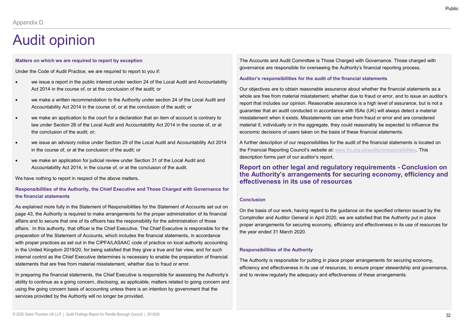### Matters on which we are required to report by exception

Under the Code of Audit Practice, we are required to report to you if:

- we issue a report in the public interest under section 24 of the Local Audit and Accountability Act 2014 in the course of, or at the conclusion of the audit; or
- we make a written recommendation to the Authority under section 24 of the Local Audit and Accountability Act 2014 in the course of, or at the conclusion of the audit; or
- we make an application to the court for a declaration that an item of account is contrary to law under Section 28 of the Local Audit and Accountability Act 2014 in the course of, or at the conclusion of the audit; or;
- we issue an advisory notice under Section 29 of the Local Audit and Accountability Act 2014 in the course of, or at the conclusion of the audit; or
- we make an application for judicial review under Section 31 of the Local Audit and Accountability Act 2014, in the course of, or at the conclusion of the audit.

We have nothing to report in respect of the above matters.

# Responsibilities of the Authority, the Chief Executive and Those Charged with Governance for the financial statements

As explained more fully in the Statement of Responsibilities for the Statement of Accounts set out on page 43, the Authority is required to make arrangements for the proper administration of its financial Comptroller and Auditor General in April 2020, we are satisfied that the Authority put in place affairs and to secure that one of its officers has the responsibility for the administration of those affairs. In this authority, that officer is the Chief Executive. The Chief Executive is responsible for the preparation of the Statement of Accounts, which includes the financial statements, in accordance with proper practices as set out in the CIPFA/LASAAC code of practice on local authority accounting in the United Kingdom 2019/20, for being satisfied that they give a true and fair view, and for such internal control as the court for a declaration that an item of account is contrary to<br>
internal control as of the Local Audit and Accountability Act 2014 in the control control control control as the financial of the audi statements that are free from material misstatement, whether due to fraud or error. the conclusion of the audit, or<br>
we have an andvisory notice audit of the Local Audi and Accountability Act 2014 A further description forms responsible for the statements<br>
in the course of, or at the conclusion of the au

ability to continue as a going concern, disclosing, as applicable, matters related to going concern and using the going concern basis of accounting unless there is an intention by government that the services provided by the Authority will no longer be provided.

The Accounts and Audit Committee is Those Charged with Governance. Those charged with governance are responsible for overseeing the Authority's financial reporting process.

### Auditor's responsibilities for the audit of the financial statements

Our objectives are to obtain reasonable assurance about whether the financial statements as a whole are free from material misstatement, whether due to fraud or error, and to issue an auditor's report that includes our opinion. Reasonable assurance is a high level of assurance, but is not a guarantee that an audit conducted in accordance with ISAs (UK) will always detect a material misstatement when it exists. Misstatements can arise from fraud or error and are considered material if, individually or in the aggregate, they could reasonably be expected to influence the economic decisions of users taken on the basis of these financial statements. The Accounts and Audit Committee is Those Charged with Governance. Those charged with governance are responsible for overseeing the Authority's financial reporting process.<br>Auditor's responsibilities for the audit of the f Auditor's responsibilities for the audit of the financial statements<br>Our objectives are to obtain reasonable assurance about whether the financial statements as a<br>proble are free from material misstatement, whether due to

A further description of our responsibilities for the audit of the financial statements is located on the Financial Reporting Council's website at: www.frc.org.uk/auditorsresponsibilities. This description forms part of our auditor's report.

# the Authority's arrangements for securing economy, efficiency and effectiveness in its use of resources

### Conclusion

On the basis of our work, having regard to the guidance on the specified criterion issued by the proper arrangements for securing economy, efficiency and effectiveness in its use of resources for the year ended 31 March 2020.

### Responsibilities of the Authority

The Authority is responsible for putting in place proper arrangements for securing economy, efficiency and effectiveness in its use of resources, to ensure proper stewardship and governance, and to review regularly the adequacy and effectiveness of these arrangements.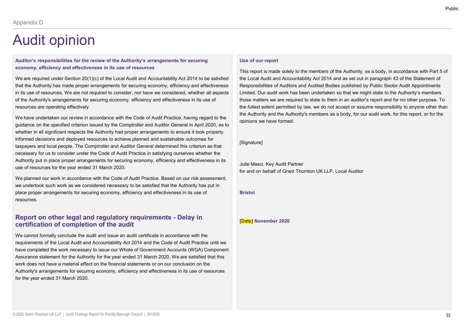# Auditor's responsibilities for the review of the Authority's arrangements for securing economy, efficiency and effectiveness in its use of resources

We are required under Section 20(1)(c) of the Local Audit and Accountability Act 2014 to be satisfied that the Authority has made proper arrangements for securing economy, efficiency and effectiveness in its use of resources. We are not required to consider, nor have we considered, whether all aspects of the Authority's arrangements for securing economy, efficiency and effectiveness in its use of resources are operating effectively.

We have undertaken our review in accordance with the Code of Audit Practice, having regard to the guidance on the specified criterion issued by the Comptroller and Auditor General in April 2020, as to whether in all significant respects the Authority had proper arrangements to ensure it took properly informed decisions and deployed resources to achieve planned and sustainable outcomes for taxpayers and local people. The Comptroller and Auditor General determined this criterion as that necessary for us to consider under the Code of Audit Practice in satisfying ourselves whether the Authority put in place proper arrangements for securing economy, efficiency and effectiveness in its use of resources for the year ended 31 March 2020. We are required under Section 20(1)(c) of the Local Audit and Accountability Act 2014 to be sells find the Audit and Accountability and the Deciral and the Multion Multion and different and the forecast proportions in the

We planned our work in accordance with the Code of Audit Practice. Based on our risk assessment, we undertook such work as we considered necessary to be satisfied that the Authority has put in place proper arrangements for securing economy, efficiency and effectiveness in its use of resources.

# certification of completion of the audit

We cannot formally conclude the audit and issue an audit certificate in accordance with the requirements of the Local Audit and Accountability Act 2014 and the Code of Audit Practice until we have completed the work necessary to issue our Whole of Government Accounts (WGA) Component Assurance statement for the Authority for the year ended 31 March 2020. We are satisfied that this work does not have a material effect on the financial statements or on our conclusion on the Authority's arrangements for securing economy, efficiency and effectiveness in its use of resources for the year ended 31 March 2020.

## Use of our report

This report is made solely to the members of the Authority, as a body, in accordance with Part 5 of the Local Audit and Accountability Act 2014 and as set out in paragraph 43 of the Statement of Responsibilities of Auditors and Audited Bodies published by Public Sector Audit Appointments Limited. Our audit work has been undertaken so that we might state to the Authority's members those matters we are required to state to them in an auditor's report and for no other purpose. To the fullest extent permitted by law, we do not accept or assume responsibility to anyone other than the Authority and the Authority's members as a body, for our audit work, for this report, or for the opinions we have formed. the Local Audit and Accountability Act 2014 and as set out in paragraph 43 of the Statement<br>Responsibilities of Auditors and Audited Bodies published by Public Sector Audit Appointmed. Our audit work has been undertaken so

### [Signature]

Julie Masci, Key Audit Partner for and on behalf of Grant Thornton UK LLP, Local Auditor

### Bristol

Public